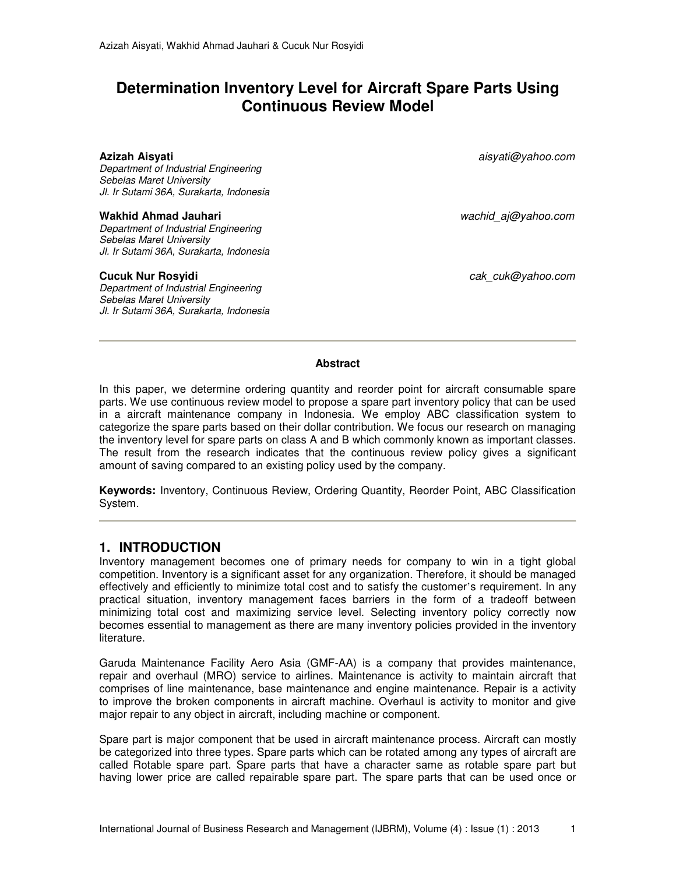# **Determination Inventory Level for Aircraft Spare Parts Using Continuous Review Model**

Department of Industrial Engineering Sebelas Maret University Jl. Ir Sutami 36A, Surakarta, Indonesia

#### **Wakhid Ahmad Jauhari** wachid\_aj@yahoo.com

Department of Industrial Engineering Sebelas Maret University Jl. Ir Sutami 36A, Surakarta, Indonesia

Department of Industrial Engineering Sebelas Maret University Jl. Ir Sutami 36A, Surakarta, Indonesia

**Azizah Aisyati** aisyati@yahoo.com

**Cucuk Nur Rosyidi cak** cuk@yahoo.com

#### **Abstract**

In this paper, we determine ordering quantity and reorder point for aircraft consumable spare parts. We use continuous review model to propose a spare part inventory policy that can be used in a aircraft maintenance company in Indonesia. We employ ABC classification system to categorize the spare parts based on their dollar contribution. We focus our research on managing the inventory level for spare parts on class A and B which commonly known as important classes. The result from the research indicates that the continuous review policy gives a significant amount of saving compared to an existing policy used by the company.

**Keywords:** Inventory, Continuous Review, Ordering Quantity, Reorder Point, ABC Classification System.

### **1. INTRODUCTION**

Inventory management becomes one of primary needs for company to win in a tight global competition. Inventory is a significant asset for any organization. Therefore, it should be managed effectively and efficiently to minimize total cost and to satisfy the customer's requirement. In any practical situation, inventory management faces barriers in the form of a tradeoff between minimizing total cost and maximizing service level. Selecting inventory policy correctly now becomes essential to management as there are many inventory policies provided in the inventory literature.

Garuda Maintenance Facility Aero Asia (GMF-AA) is a company that provides maintenance, repair and overhaul (MRO) service to airlines. Maintenance is activity to maintain aircraft that comprises of line maintenance, base maintenance and engine maintenance. Repair is a activity to improve the broken components in aircraft machine. Overhaul is activity to monitor and give major repair to any object in aircraft, including machine or component.

Spare part is major component that be used in aircraft maintenance process. Aircraft can mostly be categorized into three types. Spare parts which can be rotated among any types of aircraft are called Rotable spare part. Spare parts that have a character same as rotable spare part but having lower price are called repairable spare part. The spare parts that can be used once or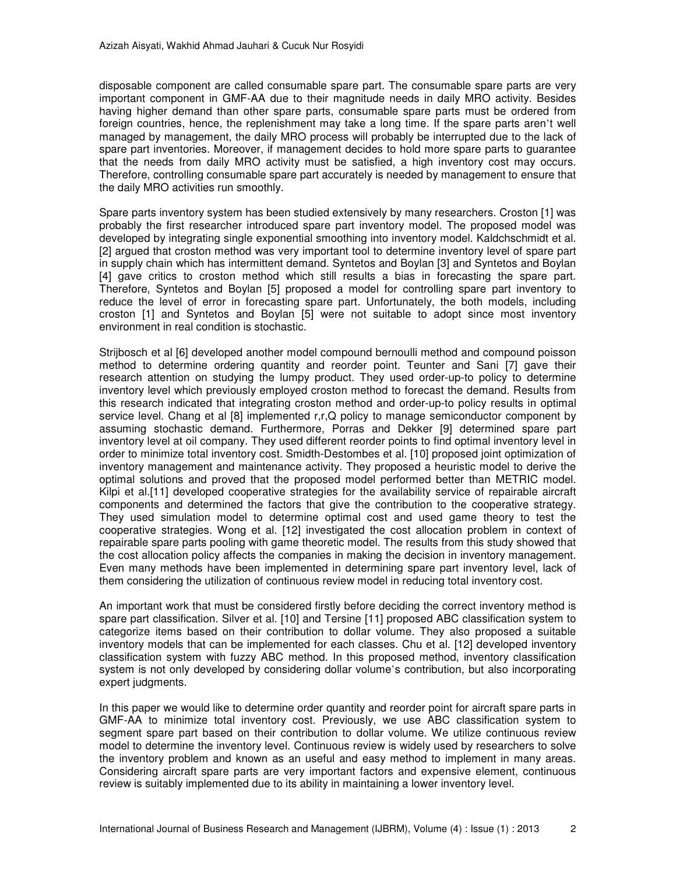disposable component are called consumable spare part. The consumable spare parts are very important component in GMF-AA due to their magnitude needs in daily MRO activity. Besides having higher demand than other spare parts, consumable spare parts must be ordered from foreign countries, hence, the replenishment may take a long time. If the spare parts aren't well managed by management, the daily MRO process will probably be interrupted due to the lack of spare part inventories. Moreover, if management decides to hold more spare parts to guarantee that the needs from daily MRO activity must be satisfied, a high inventory cost may occurs. Therefore, controlling consumable spare part accurately is needed by management to ensure that the daily MRO activities run smoothly.

Spare parts inventory system has been studied extensively by many researchers. Croston [1] was probably the first researcher introduced spare part inventory model. The proposed model was developed by integrating single exponential smoothing into inventory model. Kaldchschmidt et al. [2] argued that croston method was very important tool to determine inventory level of spare part in supply chain which has intermittent demand. Syntetos and Boylan [3] and Syntetos and Boylan [4] gave critics to croston method which still results a bias in forecasting the spare part. Therefore, Syntetos and Boylan [5] proposed a model for controlling spare part inventory to reduce the level of error in forecasting spare part. Unfortunately, the both models, including croston [1] and Syntetos and Boylan [5] were not suitable to adopt since most inventory environment in real condition is stochastic.

Strijbosch et al [6] developed another model compound bernoulli method and compound poisson method to determine ordering quantity and reorder point. Teunter and Sani [7] gave their research attention on studying the lumpy product. They used order-up-to policy to determine inventory level which previously employed croston method to forecast the demand. Results from this research indicated that integrating croston method and order-up-to policy results in optimal service level. Chang et al [8] implemented r,r,Q policy to manage semiconductor component by assuming stochastic demand. Furthermore, Porras and Dekker [9] determined spare part inventory level at oil company. They used different reorder points to find optimal inventory level in order to minimize total inventory cost. Smidth-Destombes et al. [10] proposed joint optimization of inventory management and maintenance activity. They proposed a heuristic model to derive the optimal solutions and proved that the proposed model performed better than METRIC model. Kilpi et al.[11] developed cooperative strategies for the availability service of repairable aircraft components and determined the factors that give the contribution to the cooperative strategy. They used simulation model to determine optimal cost and used game theory to test the cooperative strategies. Wong et al. [12] investigated the cost allocation problem in context of repairable spare parts pooling with game theoretic model. The results from this study showed that the cost allocation policy affects the companies in making the decision in inventory management. Even many methods have been implemented in determining spare part inventory level, lack of them considering the utilization of continuous review model in reducing total inventory cost.

An important work that must be considered firstly before deciding the correct inventory method is spare part classification. Silver et al. [10] and Tersine [11] proposed ABC classification system to categorize items based on their contribution to dollar volume. They also proposed a suitable inventory models that can be implemented for each classes. Chu et al. [12] developed inventory classification system with fuzzy ABC method. In this proposed method, inventory classification system is not only developed by considering dollar volume's contribution, but also incorporating expert judgments.

In this paper we would like to determine order quantity and reorder point for aircraft spare parts in GMF-AA to minimize total inventory cost. Previously, we use ABC classification system to segment spare part based on their contribution to dollar volume. We utilize continuous review model to determine the inventory level. Continuous review is widely used by researchers to solve the inventory problem and known as an useful and easy method to implement in many areas. Considering aircraft spare parts are very important factors and expensive element, continuous review is suitably implemented due to its ability in maintaining a lower inventory level.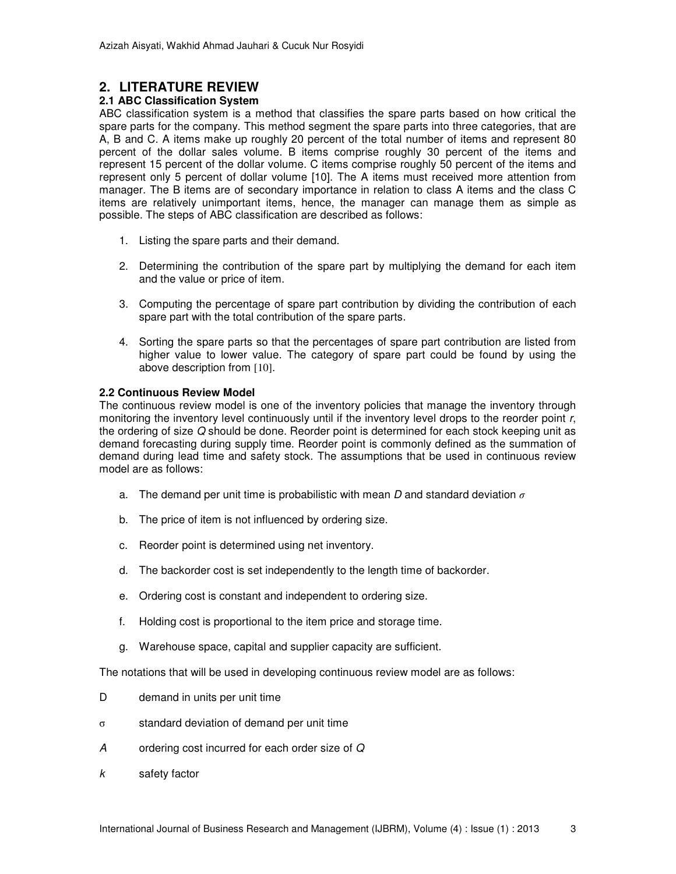## **2. LITERATURE REVIEW**

#### **2.1 ABC Classification System**

ABC classification system is a method that classifies the spare parts based on how critical the spare parts for the company. This method segment the spare parts into three categories, that are A, B and C. A items make up roughly 20 percent of the total number of items and represent 80 percent of the dollar sales volume. B items comprise roughly 30 percent of the items and represent 15 percent of the dollar volume. C items comprise roughly 50 percent of the items and represent only 5 percent of dollar volume [10]. The A items must received more attention from manager. The B items are of secondary importance in relation to class A items and the class C items are relatively unimportant items, hence, the manager can manage them as simple as possible. The steps of ABC classification are described as follows:

- 1. Listing the spare parts and their demand.
- 2. Determining the contribution of the spare part by multiplying the demand for each item and the value or price of item.
- 3. Computing the percentage of spare part contribution by dividing the contribution of each spare part with the total contribution of the spare parts.
- 4. Sorting the spare parts so that the percentages of spare part contribution are listed from higher value to lower value. The category of spare part could be found by using the above description from [10].

#### **2.2 Continuous Review Model**

The continuous review model is one of the inventory policies that manage the inventory through monitoring the inventory level continuously until if the inventory level drops to the reorder point  $r$ , the ordering of size Q should be done. Reorder point is determined for each stock keeping unit as demand forecasting during supply time. Reorder point is commonly defined as the summation of demand during lead time and safety stock. The assumptions that be used in continuous review model are as follows:

- a. The demand per unit time is probabilistic with mean D and standard deviation *σ*
- b. The price of item is not influenced by ordering size.
- c. Reorder point is determined using net inventory.
- d. The backorder cost is set independently to the length time of backorder.
- e. Ordering cost is constant and independent to ordering size.
- f. Holding cost is proportional to the item price and storage time.
- g. Warehouse space, capital and supplier capacity are sufficient.

The notations that will be used in developing continuous review model are as follows:

- D demand in units per unit time
- σ standard deviation of demand per unit time
- A ordering cost incurred for each order size of Q
- k safety factor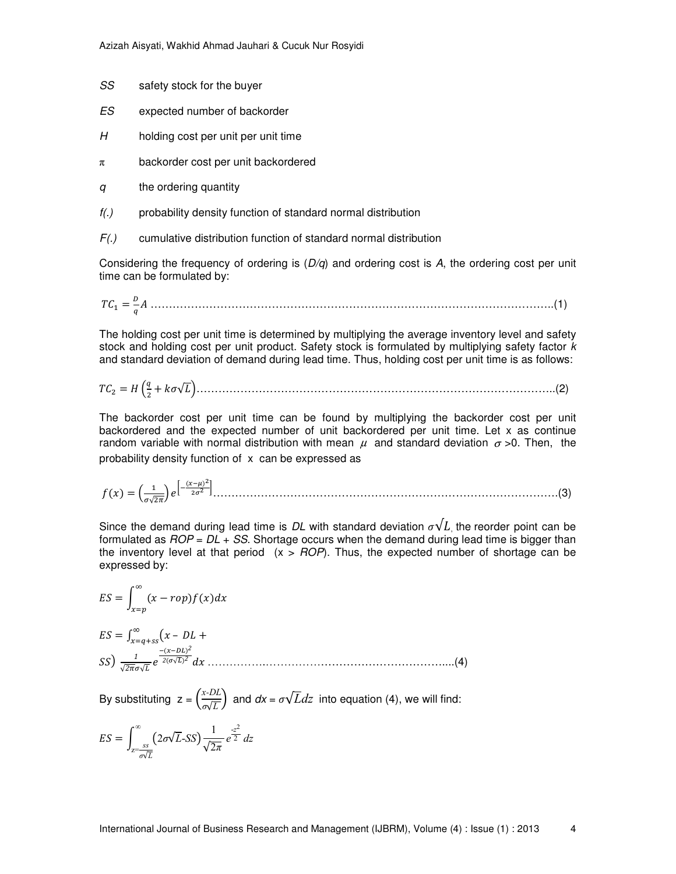- SS safety stock for the buyer
- ES expected number of backorder
- $H$  holding cost per unit per unit time
- $\pi$  backorder cost per unit backordered
- q the ordering quantity
- $f(.)$  probability density function of standard normal distribution
- $F(.)$  cumulative distribution function of standard normal distribution

Considering the frequency of ordering is  $(D/q)$  and ordering cost is A, the ordering cost per unit time can be formulated by:

$$
TC_1 = \frac{D}{q}A \dots (1)
$$

The holding cost per unit time is determined by multiplying the average inventory level and safety stock and holding cost per unit product. Safety stock is formulated by multiplying safety factor  $k$ and standard deviation of demand during lead time. Thus, holding cost per unit time is as follows:

$$
TC_2 = H\left(\frac{q}{2} + k\sigma\sqrt{L}\right)
$$
 (2)

The backorder cost per unit time can be found by multiplying the backorder cost per unit backordered and the expected number of unit backordered per unit time. Let x as continue random variable with normal distribution with mean  $\mu$  and standard deviation  $\sigma > 0$ . Then, the probability density function of x can be expressed as

$$
f(x) = \left(\frac{1}{\sigma\sqrt{2\pi}}\right)e^{\left[-\frac{(x-\mu)^2}{2\sigma^2}\right]}.\tag{3}
$$

Since the demand during lead time is DL with standard deviation  $\sigma \sqrt{L}$ , the reorder point can be formulated as  $FOP = DL + SS$ . Shortage occurs when the demand during lead time is bigger than the inventory level at that period  $(x > ROP)$ . Thus, the expected number of shortage can be expressed by:

$$
ES = \int_{x=p}^{\infty} (x - rop) f(x) dx
$$
  
\n
$$
ES = \int_{x=q+ss}^{\infty} (x - DL +
$$
  
\n
$$
SS) \frac{1}{\sqrt{2\pi}\sigma\sqrt{L}} e^{\frac{-(x-DL)^2}{2(\sigma\sqrt{L})^2}} dx
$$
........(4)

By substituting  $z = \left(\frac{x \cdot DL}{c \sqrt{L}}\right)$  $\left(\frac{\partial^2 DE}{\partial \sqrt{L}}\right)$  and  $dx = \sigma \sqrt{L}dz$  into equation (4), we will find:

$$
ES = \int_{z=\frac{ss}{\sigma\sqrt{L}}}^{\infty} (2\sigma\sqrt{L} - SS) \frac{1}{\sqrt{2\pi}} e^{\frac{-z^2}{2}} dz
$$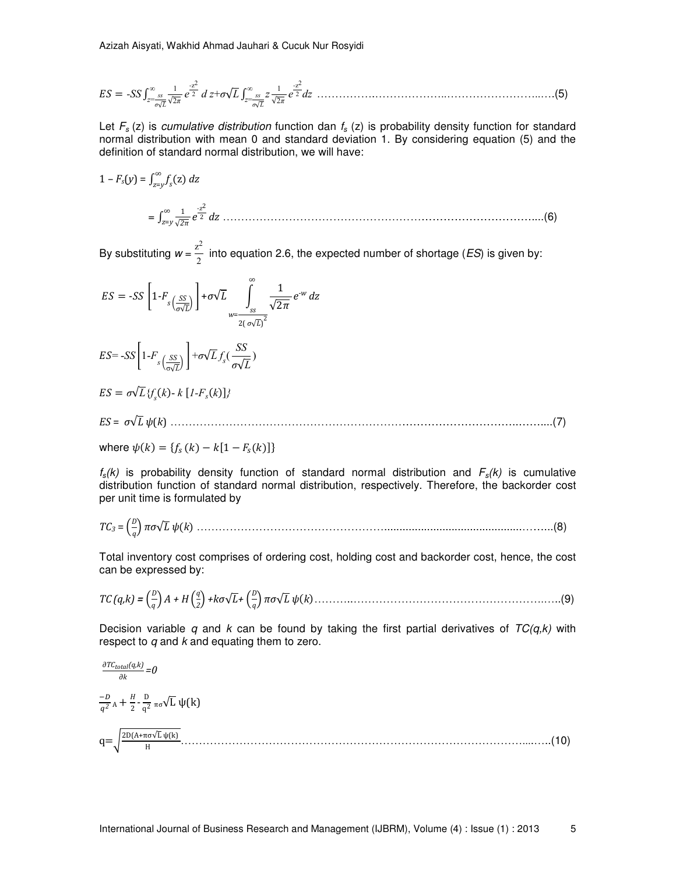$$
ES = -SS \int_{z=\sqrt{2\pi}}^{\infty} \frac{1}{\sqrt{2\pi}} e^{\frac{-z^2}{2}} dz + \sigma \sqrt{L} \int_{z=\sqrt{2\pi}}^{\infty} \frac{1}{\sqrt{2\pi}} e^{\frac{-z^2}{2}} dz
$$

Let  $F_s$  (z) is cumulative distribution function dan  $f_s$  (z) is probability density function for standard normal distribution with mean 0 and standard deviation 1. By considering equation (5) and the definition of standard normal distribution, we will have:

$$
1 - F_s(y) = \int_{z=y}^{\infty} f_s(z) dz
$$
  
= 
$$
\int_{z=y}^{\infty} \frac{1}{\sqrt{2\pi}} e^{\frac{z^2}{2}} dz
$$
.................(6)

By substituting  $w = \frac{z^2}{2}$  $\frac{1}{2}$  into equation 2.6, the expected number of shortage (*ES*) is given by:

$$
ES = -SS \left[ 1 - F_s \left( \frac{SS}{\sigma \sqrt{L}} \right) \right] + \sigma \sqrt{L} \int_{w = \frac{S}{2(\sigma \sqrt{L})^2}}^{\infty} \frac{1}{\sqrt{2\pi}} e^{-w} dz
$$

$$
ES = -SS \left[ 1 - F_s \left( \frac{SS}{\sigma \sqrt{L}} \right) \right] + \sigma \sqrt{L} f_s \left( \frac{SS}{\sigma \sqrt{L}} \right)
$$

$$
ES = \sigma \sqrt{L} \{f_s(k) \cdot k \left[1 - F_s(k)\right]\}
$$

*ES* = *σ*√*L ψ*(*k*) …………………………………………………………………………………..……....(7)

where 
$$
\psi(k) = \{f_s(k) - k[1 - F_s(k)]\}
$$

 $f_s(k)$  is probability density function of standard normal distribution and  $F_s(k)$  is cumulative distribution function of standard normal distribution, respectively. Therefore, the backorder cost per unit time is formulated by

*TC3* = *D q πσ*√*L ψk* …………………………………………….............................................……...(8)

Total inventory cost comprises of ordering cost, holding cost and backorder cost, hence, the cost can be expressed by:

*TC (q,k) = D <sup>q</sup> A + H q 2 +kσ*√*L+ D q πσ*√*L ψk*………..…………………………………………….…..(9)

Decision variable q and k can be found by taking the first partial derivatives of  $TC(q, k)$  with respect to  $q$  and  $k$  and equating them to zero.

$$
\frac{\partial T C_{total}(q,k)}{\partial k} = 0
$$
\n
$$
\frac{-D}{q^2} A + \frac{H}{2} - \frac{D}{q^2} \pi \sigma \sqrt{L} \psi(k)
$$
\n
$$
q = \sqrt{\frac{2D(A + \pi \sigma \sqrt{L} \psi(k))}{H}} \dots \tag{10}
$$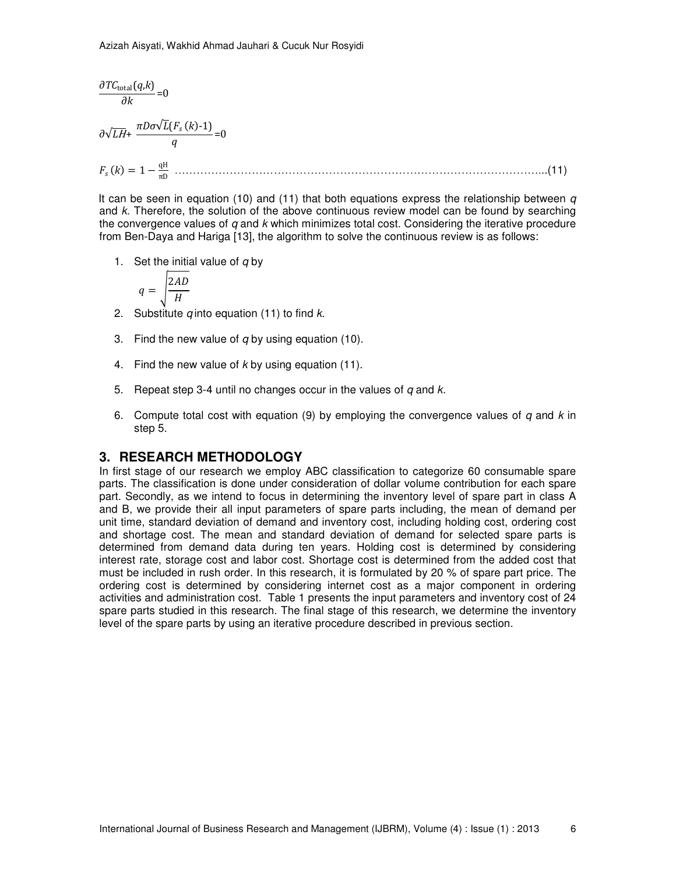∂*TC*total(*q*,*k*) ∂*k* =0 ∂√*L*H+ *πDσ*√*L*(*F<sup>s</sup> k*-1) *q* =0 *Fs k* 1\$ qH πD ………………………………………………………………………………………...(11)

It can be seen in equation (10) and (11) that both equations express the relationship between  $q$ and k. Therefore, the solution of the above continuous review model can be found by searching the convergence values of  $q$  and  $k$  which minimizes total cost. Considering the iterative procedure from Ben-Daya and Hariga [13], the algorithm to solve the continuous review is as follows:

1. Set the initial value of  $q$  by

$$
q = \sqrt{\frac{2AD}{H}}
$$

- 2. Substitute  $q$  into equation (11) to find  $k$ .
- 3. Find the new value of  $q$  by using equation (10).
- 4. Find the new value of  $k$  by using equation (11).
- 5. Repeat step 3-4 until no changes occur in the values of  $q$  and  $k$ .
- 6. Compute total cost with equation (9) by employing the convergence values of  $q$  and  $k$  in step 5.

## **3. RESEARCH METHODOLOGY**

In first stage of our research we employ ABC classification to categorize 60 consumable spare parts. The classification is done under consideration of dollar volume contribution for each spare part. Secondly, as we intend to focus in determining the inventory level of spare part in class A and B, we provide their all input parameters of spare parts including, the mean of demand per unit time, standard deviation of demand and inventory cost, including holding cost, ordering cost and shortage cost. The mean and standard deviation of demand for selected spare parts is determined from demand data during ten years. Holding cost is determined by considering interest rate, storage cost and labor cost. Shortage cost is determined from the added cost that must be included in rush order. In this research, it is formulated by 20 % of spare part price. The ordering cost is determined by considering internet cost as a major component in ordering activities and administration cost. Table 1 presents the input parameters and inventory cost of 24 spare parts studied in this research. The final stage of this research, we determine the inventory level of the spare parts by using an iterative procedure described in previous section.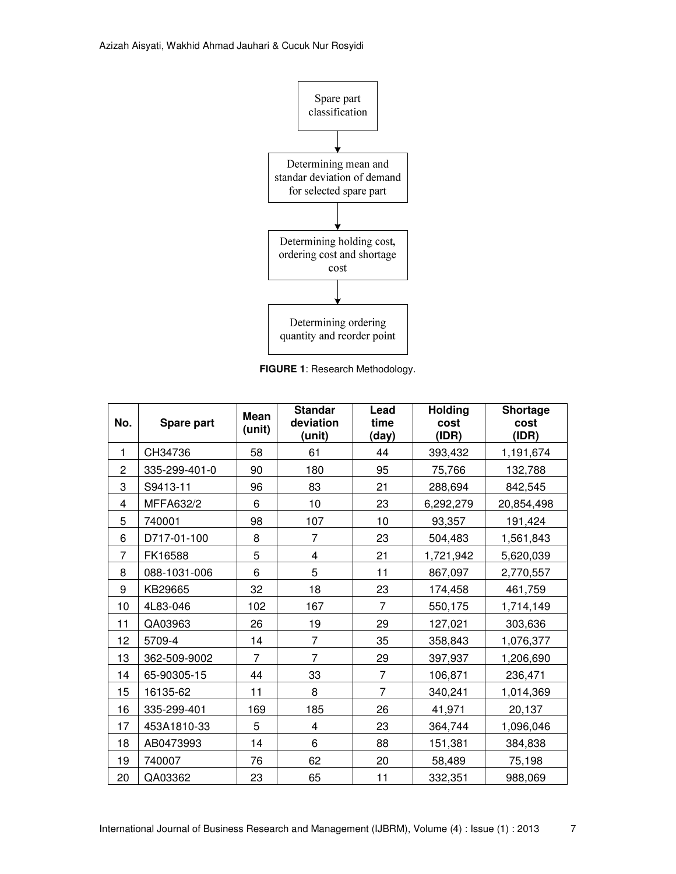

**FIGURE 1**: Research Methodology.

| No.            | Spare part    | <b>Mean</b><br>(unit) | <b>Standar</b><br>deviation<br>(unit) | Lead<br>time<br>(day) | Holding<br>cost<br>(IDR) | <b>Shortage</b><br>cost<br>(IDR) |
|----------------|---------------|-----------------------|---------------------------------------|-----------------------|--------------------------|----------------------------------|
| 1              | CH34736       | 58                    | 61                                    | 44                    | 393,432                  | 1,191,674                        |
| $\overline{c}$ | 335-299-401-0 | 90                    | 180                                   | 95                    | 75,766                   | 132,788                          |
| 3              | S9413-11      | 96                    | 83                                    | 21                    | 288,694                  | 842,545                          |
| 4              | MFFA632/2     | 6                     | 10                                    | 23                    | 6,292,279                | 20,854,498                       |
| 5              | 740001        | 98                    | 107                                   | 10                    | 93,357                   | 191,424                          |
| 6              | D717-01-100   | 8                     | $\overline{7}$                        | 23                    | 504,483                  | 1,561,843                        |
| $\overline{7}$ | FK16588       | 5                     | 4                                     | 21                    | 1,721,942                | 5,620,039                        |
| 8              | 088-1031-006  | 6                     | 5                                     | 11                    | 867,097                  | 2,770,557                        |
| 9              | KB29665       | 32                    | 18                                    | 23                    | 174,458                  | 461,759                          |
| 10             | 4L83-046      | 102                   | 167                                   | $\overline{7}$        | 550,175                  | 1,714,149                        |
| 11             | QA03963       | 26                    | 19                                    | 29                    | 127,021                  | 303,636                          |
| 12             | 5709-4        | 14                    | $\overline{7}$                        | 35                    | 358,843                  | 1,076,377                        |
| 13             | 362-509-9002  | 7                     | $\overline{7}$                        | 29                    | 397,937                  | 1,206,690                        |
| 14             | 65-90305-15   | 44                    | 33                                    | $\overline{7}$        | 106,871                  | 236,471                          |
| 15             | 16135-62      | 11                    | 8                                     | $\overline{7}$        | 340,241                  | 1,014,369                        |
| 16             | 335-299-401   | 169                   | 185                                   | 26                    | 41,971                   | 20,137                           |
| 17             | 453A1810-33   | 5                     | 4                                     | 23                    | 364,744                  | 1,096,046                        |
| 18             | AB0473993     | 14                    | 6                                     | 88                    | 151,381                  | 384,838                          |
| 19             | 740007        | 76                    | 62                                    | 20                    | 58,489                   | 75,198                           |
| 20             | QA03362       | 23                    | 65                                    | 11                    | 332,351                  | 988,069                          |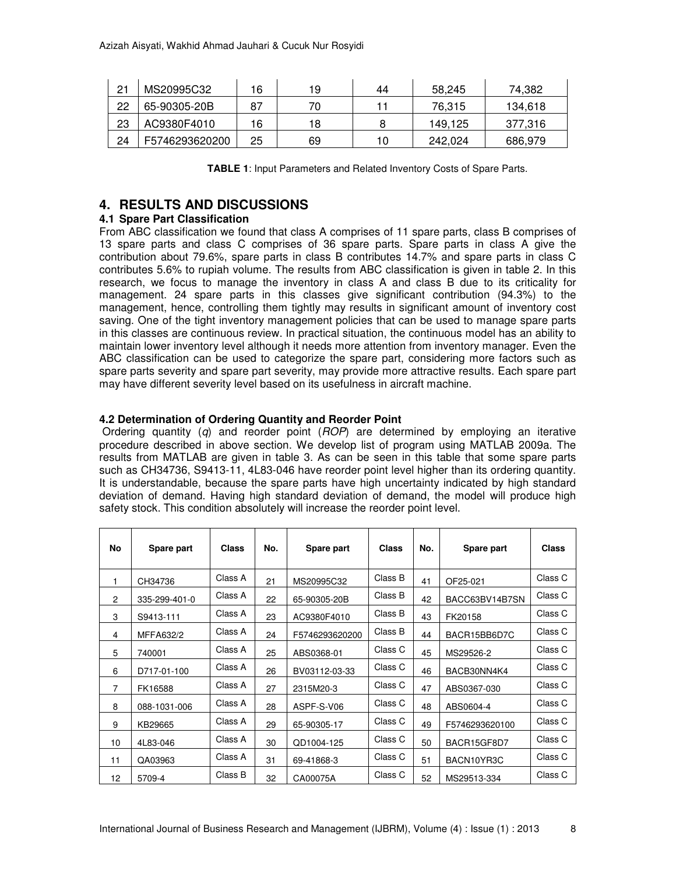| 21 | MS20995C32     | 16 | 19 | 44 | 58.245  | 74.382  |
|----|----------------|----|----|----|---------|---------|
| 22 | 65-90305-20B   | 87 | 70 |    | 76,315  | 134,618 |
| 23 | AC9380F4010    | 16 | 18 |    | 149.125 | 377,316 |
| 24 | F5746293620200 | 25 | 69 |    | 242,024 | 686,979 |

**TABLE 1**: Input Parameters and Related Inventory Costs of Spare Parts.

## **4. RESULTS AND DISCUSSIONS**

### **4.1 Spare Part Classification**

From ABC classification we found that class A comprises of 11 spare parts, class B comprises of 13 spare parts and class C comprises of 36 spare parts. Spare parts in class A give the contribution about 79.6%, spare parts in class B contributes 14.7% and spare parts in class C contributes 5.6% to rupiah volume. The results from ABC classification is given in table 2. In this research, we focus to manage the inventory in class A and class B due to its criticality for management. 24 spare parts in this classes give significant contribution (94.3%) to the management, hence, controlling them tightly may results in significant amount of inventory cost saving. One of the tight inventory management policies that can be used to manage spare parts in this classes are continuous review. In practical situation, the continuous model has an ability to maintain lower inventory level although it needs more attention from inventory manager. Even the ABC classification can be used to categorize the spare part, considering more factors such as spare parts severity and spare part severity, may provide more attractive results. Each spare part may have different severity level based on its usefulness in aircraft machine.

#### **4.2 Determination of Ordering Quantity and Reorder Point**

Ordering quantity  $(q)$  and reorder point  $(ROP)$  are determined by employing an iterative procedure described in above section. We develop list of program using MATLAB 2009a. The results from MATLAB are given in table 3. As can be seen in this table that some spare parts such as CH34736, S9413-11, 4L83-046 have reorder point level higher than its ordering quantity. It is understandable, because the spare parts have high uncertainty indicated by high standard deviation of demand. Having high standard deviation of demand, the model will produce high safety stock. This condition absolutely will increase the reorder point level.

| No             | Spare part    | <b>Class</b> | No. | Spare part     | <b>Class</b> | No. | Spare part     | <b>Class</b> |
|----------------|---------------|--------------|-----|----------------|--------------|-----|----------------|--------------|
| 1              | CH34736       | Class A      | 21  | MS20995C32     | Class B      | 41  | OF25-021       | Class C      |
| $\overline{2}$ | 335-299-401-0 | Class A      | 22  | 65-90305-20B   | Class B      | 42  | BACC63BV14B7SN | Class C      |
| 3              | S9413-111     | Class A      | 23  | AC9380F4010    | Class B      | 43  | FK20158        | Class C      |
| 4              | MFFA632/2     | Class A      | 24  | F5746293620200 | Class B      | 44  | BACR15BB6D7C   | Class C      |
| 5              | 740001        | Class A      | 25  | ABS0368-01     | Class C      | 45  | MS29526-2      | Class C      |
| 6              | D717-01-100   | Class A      | 26  | BV03112-03-33  | Class C      | 46  | BACB30NN4K4    | Class C      |
| $\overline{7}$ | FK16588       | Class A      | 27  | 2315M20-3      | Class C      | 47  | ABS0367-030    | Class C      |
| 8              | 088-1031-006  | Class A      | 28  | ASPF-S-V06     | Class C      | 48  | ABS0604-4      | Class C      |
| 9              | KB29665       | Class A      | 29  | 65-90305-17    | Class C      | 49  | F5746293620100 | Class C      |
| 10             | 4L83-046      | Class A      | 30  | QD1004-125     | Class C      | 50  | BACR15GF8D7    | Class C      |
| 11             | QA03963       | Class A      | 31  | 69-41868-3     | Class C      | 51  | BACN10YR3C     | Class C      |
| 12             | 5709-4        | Class B      | 32  | CA00075A       | Class C      | 52  | MS29513-334    | Class C      |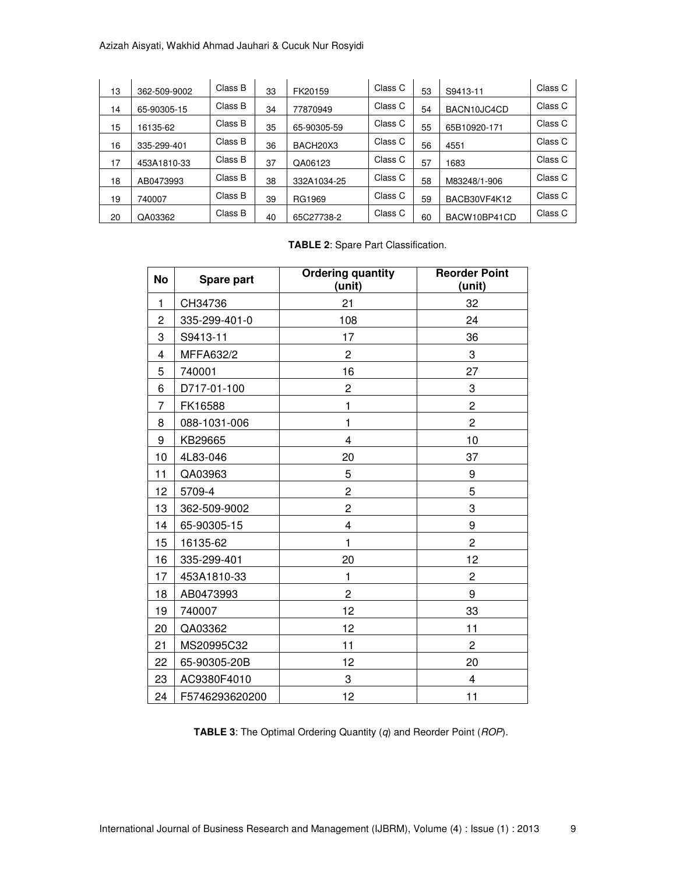#### Azizah Aisyati, Wakhid Ahmad Jauhari & Cucuk Nur Rosyidi

| 13 | 362-509-9002 | Class B | 33 | FK20159     | Class C | 53 | S9413-11     | Class C |
|----|--------------|---------|----|-------------|---------|----|--------------|---------|
| 14 | 65-90305-15  | Class B | 34 | 77870949    | Class C | 54 | BACN10JC4CD  | Class C |
| 15 | 16135-62     | Class B | 35 | 65-90305-59 | Class C | 55 | 65B10920-171 | Class C |
| 16 | 335-299-401  | Class B | 36 | BACH20X3    | Class C | 56 | 4551         | Class C |
| 17 | 453A1810-33  | Class B | 37 | QA06123     | Class C | 57 | 1683         | Class C |
| 18 | AB0473993    | Class B | 38 | 332A1034-25 | Class C | 58 | M83248/1-906 | Class C |
| 19 | 740007       | Class B | 39 | RG1969      | Class C | 59 | BACB30VF4K12 | Class C |
| 20 | QA03362      | Class B | 40 | 65C27738-2  | Class C | 60 | BACW10BP41CD | Class C |

**TABLE 2**: Spare Part Classification.

| No             | Spare part     | <b>Ordering quantity</b><br>(unit) | <b>Reorder Point</b><br>(unit) |
|----------------|----------------|------------------------------------|--------------------------------|
| $\mathbf{1}$   | CH34736        | 21                                 | 32                             |
| $\overline{2}$ | 335-299-401-0  | 108                                | 24                             |
| 3              | S9413-11       | 17                                 | 36                             |
| 4              | MFFA632/2      | $\mathbf{2}$                       | 3                              |
| 5              | 740001         | 16                                 | 27                             |
| 6              | D717-01-100    | $\overline{c}$                     | 3                              |
| 7              | FK16588        | 1                                  | $\overline{c}$                 |
| 8              | 088-1031-006   | 1                                  | 2                              |
| 9              | KB29665        | 4                                  | 10                             |
| 10             | 4L83-046       | 20                                 | 37                             |
| 11             | QA03963        | 5                                  | 9                              |
| 12             | 5709-4         | $\overline{c}$                     | 5                              |
| 13             | 362-509-9002   | $\overline{c}$                     | 3                              |
| 14             | 65-90305-15    | 4                                  | 9                              |
| 15             | 16135-62       | 1                                  | $\overline{c}$                 |
| 16             | 335-299-401    | 20                                 | 12                             |
| 17             | 453A1810-33    | 1                                  | $\overline{c}$                 |
| 18             | AB0473993      | $\overline{2}$                     | 9                              |
| 19             | 740007         | 12                                 | 33                             |
| 20             | QA03362        | 12                                 | 11                             |
| 21             | MS20995C32     | 11                                 | $\overline{c}$                 |
| 22             | 65-90305-20B   | 12                                 | 20                             |
| 23             | AC9380F4010    | 3                                  | 4                              |
| 24             | F5746293620200 | 12                                 | 11                             |

**TABLE 3**: The Optimal Ordering Quantity (q) and Reorder Point (ROP).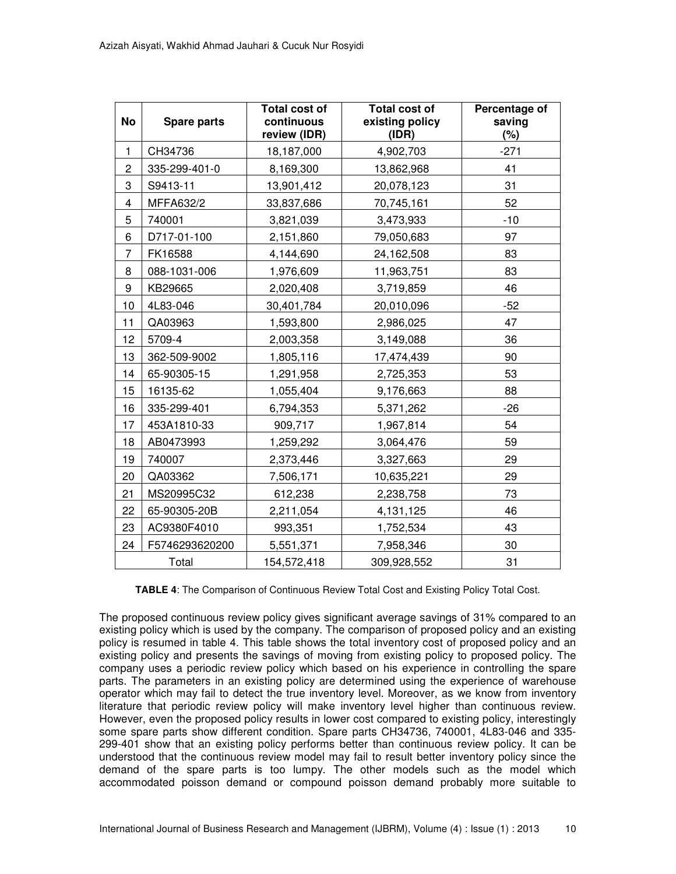| <b>No</b>      | <b>Spare parts</b> | <b>Total cost of</b><br>continuous<br>review (IDR) | <b>Total cost of</b><br>existing policy<br>(IDR) | Percentage of<br>saving<br>(%) |
|----------------|--------------------|----------------------------------------------------|--------------------------------------------------|--------------------------------|
| $\mathbf{1}$   | CH34736            | 18,187,000                                         | 4,902,703                                        | $-271$                         |
| $\overline{c}$ | 335-299-401-0      | 8,169,300                                          | 13,862,968                                       | 41                             |
| 3              | S9413-11           | 13,901,412                                         | 20,078,123                                       | 31                             |
| 4              | MFFA632/2          | 33,837,686                                         | 70,745,161                                       | 52                             |
| 5              | 740001             | 3,821,039                                          | 3,473,933                                        | $-10$                          |
| 6              | D717-01-100        | 2,151,860                                          | 79,050,683                                       | 97                             |
| $\overline{7}$ | FK16588            | 4,144,690                                          | 24,162,508                                       | 83                             |
| 8              | 088-1031-006       | 1,976,609                                          | 11,963,751                                       | 83                             |
| 9              | KB29665            | 2,020,408                                          | 3,719,859                                        | 46                             |
| 10             | 4L83-046           | 30,401,784                                         | 20,010,096                                       | $-52$                          |
| 11             | QA03963            | 1,593,800                                          | 2,986,025                                        | 47                             |
| 12             | 5709-4             | 2,003,358                                          | 3,149,088                                        | 36                             |
| 13             | 362-509-9002       | 1,805,116                                          | 17,474,439                                       | 90                             |
| 14             | 65-90305-15        | 1,291,958                                          | 2,725,353                                        | 53                             |
| 15             | 16135-62           | 1,055,404                                          | 9,176,663                                        | 88                             |
| 16             | 335-299-401        | 6,794,353                                          | 5,371,262                                        | $-26$                          |
| 17             | 453A1810-33        | 909,717                                            | 1,967,814                                        | 54                             |
| 18             | AB0473993          | 1,259,292                                          | 3,064,476                                        | 59                             |
| 19             | 740007             | 2,373,446                                          | 3,327,663                                        | 29                             |
| 20             | QA03362            | 7,506,171                                          | 10,635,221                                       | 29                             |
| 21             | MS20995C32         | 612,238                                            | 2,238,758                                        | 73                             |
| 22             | 65-90305-20B       | 2,211,054                                          | 4,131,125                                        | 46                             |
| 23             | AC9380F4010        | 993,351                                            | 1,752,534                                        | 43                             |
| 24             | F5746293620200     | 5,551,371                                          | 7,958,346                                        | 30                             |
|                | Total              | 154,572,418                                        | 309,928,552                                      | 31                             |

**TABLE 4**: The Comparison of Continuous Review Total Cost and Existing Policy Total Cost.

The proposed continuous review policy gives significant average savings of 31% compared to an existing policy which is used by the company. The comparison of proposed policy and an existing policy is resumed in table 4. This table shows the total inventory cost of proposed policy and an existing policy and presents the savings of moving from existing policy to proposed policy. The company uses a periodic review policy which based on his experience in controlling the spare parts. The parameters in an existing policy are determined using the experience of warehouse operator which may fail to detect the true inventory level. Moreover, as we know from inventory literature that periodic review policy will make inventory level higher than continuous review. However, even the proposed policy results in lower cost compared to existing policy, interestingly some spare parts show different condition. Spare parts CH34736, 740001, 4L83-046 and 335- 299-401 show that an existing policy performs better than continuous review policy. It can be understood that the continuous review model may fail to result better inventory policy since the demand of the spare parts is too lumpy. The other models such as the model which accommodated poisson demand or compound poisson demand probably more suitable to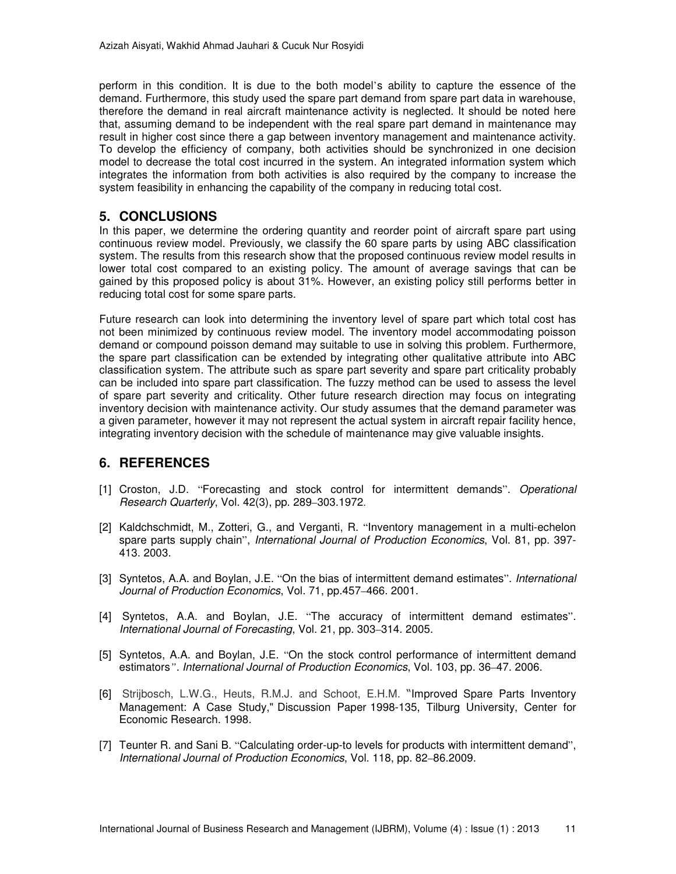perform in this condition. It is due to the both model's ability to capture the essence of the demand. Furthermore, this study used the spare part demand from spare part data in warehouse, therefore the demand in real aircraft maintenance activity is neglected. It should be noted here that, assuming demand to be independent with the real spare part demand in maintenance may result in higher cost since there a gap between inventory management and maintenance activity. To develop the efficiency of company, both activities should be synchronized in one decision model to decrease the total cost incurred in the system. An integrated information system which integrates the information from both activities is also required by the company to increase the system feasibility in enhancing the capability of the company in reducing total cost.

## **5. CONCLUSIONS**

In this paper, we determine the ordering quantity and reorder point of aircraft spare part using continuous review model. Previously, we classify the 60 spare parts by using ABC classification system. The results from this research show that the proposed continuous review model results in lower total cost compared to an existing policy. The amount of average savings that can be gained by this proposed policy is about 31%. However, an existing policy still performs better in reducing total cost for some spare parts.

Future research can look into determining the inventory level of spare part which total cost has not been minimized by continuous review model. The inventory model accommodating poisson demand or compound poisson demand may suitable to use in solving this problem. Furthermore, the spare part classification can be extended by integrating other qualitative attribute into ABC classification system. The attribute such as spare part severity and spare part criticality probably can be included into spare part classification. The fuzzy method can be used to assess the level of spare part severity and criticality. Other future research direction may focus on integrating inventory decision with maintenance activity. Our study assumes that the demand parameter was a given parameter, however it may not represent the actual system in aircraft repair facility hence, integrating inventory decision with the schedule of maintenance may give valuable insights.

## **6. REFERENCES**

- [1] Croston, J.D. "Forecasting and stock control for intermittent demands". Operational Research Quarterly, Vol. 42(3), pp. 289–303.1972.
- [2] Kaldchschmidt, M., Zotteri, G., and Verganti, R. "Inventory management in a multi-echelon spare parts supply chain", International Journal of Production Economics, Vol. 81, pp. 397-413. 2003.
- [3] Syntetos, A.A. and Boylan, J.E. "On the bias of intermittent demand estimates". International Journal of Production Economics, Vol. 71, pp.457–466. 2001.
- [4] Syntetos, A.A. and Boylan, J.E. "The accuracy of intermittent demand estimates". International Journal of Forecasting, Vol. 21, pp. 303–314. 2005.
- [5] Syntetos, A.A. and Boylan, J.E. "On the stock control performance of intermittent demand estimators*"*. International Journal of Production Economics, Vol. 103, pp. 36–47. 2006.
- [6] Strijbosch, L.W.G., Heuts, R.M.J. and Schoot, E.H.M. "Improved Spare Parts Inventory Management: A Case Study," Discussion Paper 1998-135, Tilburg University, Center for Economic Research. 1998.
- [7] Teunter R. and Sani B. "Calculating order-up-to levels for products with intermittent demand", International Journal of Production Economics, Vol. 118, pp. 82–86.2009.